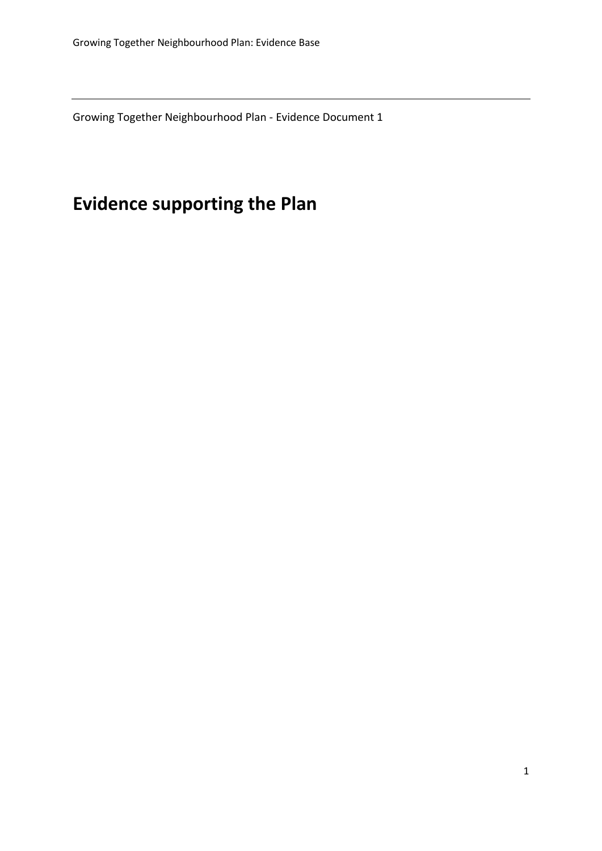Growing Together Neighbourhood Plan - Evidence Document 1

# **Evidence supporting the Plan**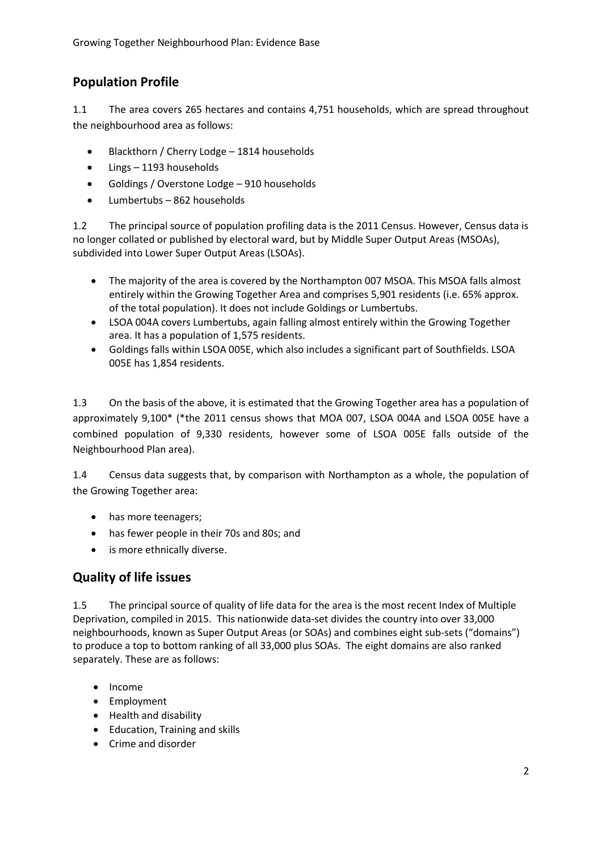## **Population Profile**

1.1 The area covers 265 hectares and contains 4,751 households, which are spread throughout the neighbourhood area as follows:

- Blackthorn / Cherry Lodge 1814 households
- Lings 1193 households
- Goldings / Overstone Lodge 910 households
- Lumbertubs 862 households

1.2 The principal source of population profiling data is the 2011 Census. However, Census data is no longer collated or published by electoral ward, but by Middle Super Output Areas (MSOAs), subdivided into Lower Super Output Areas (LSOAs).

- The majority of the area is covered by the Northampton 007 MSOA. This MSOA falls almost entirely within the Growing Together Area and comprises 5,901 residents (i.e. 65% approx. of the total population). It does not include Goldings or Lumbertubs.
- LSOA 004A covers Lumbertubs, again falling almost entirely within the Growing Together area. It has a population of 1,575 residents.
- Goldings falls within LSOA 005E, which also includes a significant part of Southfields. LSOA 005E has 1,854 residents.

1.3 On the basis of the above, it is estimated that the Growing Together area has a population of approximately 9,100\* (\*the 2011 census shows that MOA 007, LSOA 004A and LSOA 005E have a combined population of 9,330 residents, however some of LSOA 005E falls outside of the Neighbourhood Plan area).

1.4 Census data suggests that, by comparison with Northampton as a whole, the population of the Growing Together area:

- has more teenagers;
- has fewer people in their 70s and 80s; and
- is more ethnically diverse.

#### **Quality of life issues**

1.5 The principal source of quality of life data for the area is the most recent Index of Multiple Deprivation, compiled in 2015. This nationwide data-set divides the country into over 33,000 neighbourhoods, known as Super Output Areas (or SOAs) and combines eight sub-sets ("domains") to produce a top to bottom ranking of all 33,000 plus SOAs. The eight domains are also ranked separately. These are as follows:

- Income
- Employment
- Health and disability
- Education, Training and skills
- Crime and disorder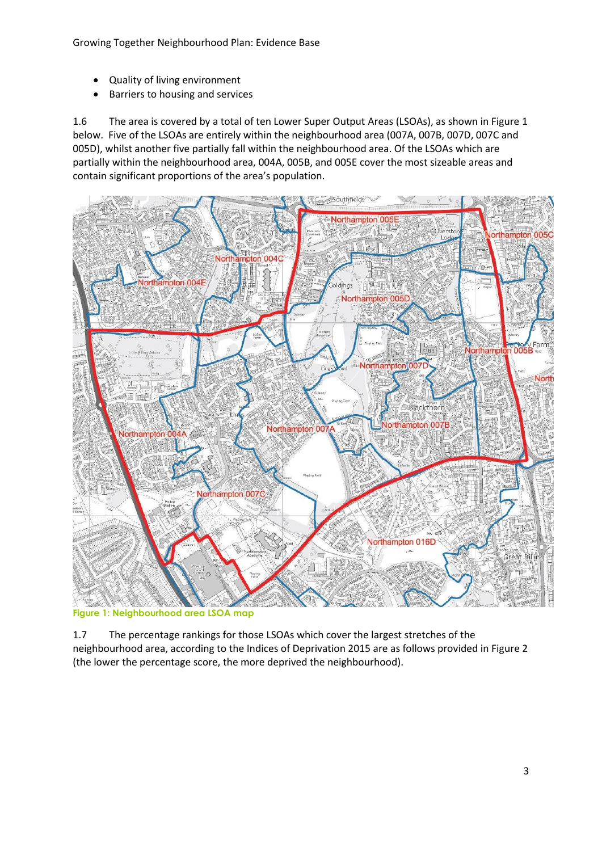- Quality of living environment
- Barriers to housing and services

1.6 The area is covered by a total of ten Lower Super Output Areas (LSOAs), as shown in Figure 1 below. Five of the LSOAs are entirely within the neighbourhood area (007A, 007B, 007D, 007C and 005D), whilst another five partially fall within the neighbourhood area. Of the LSOAs which are partially within the neighbourhood area, 004A, 005B, and 005E cover the most sizeable areas and contain significant proportions of the area's population.



**Figure 1: Neighbourhood area LSOA map**

1.7 The percentage rankings for those LSOAs which cover the largest stretches of the neighbourhood area, according to the Indices of Deprivation 2015 are as follows provided in Figure 2 (the lower the percentage score, the more deprived the neighbourhood).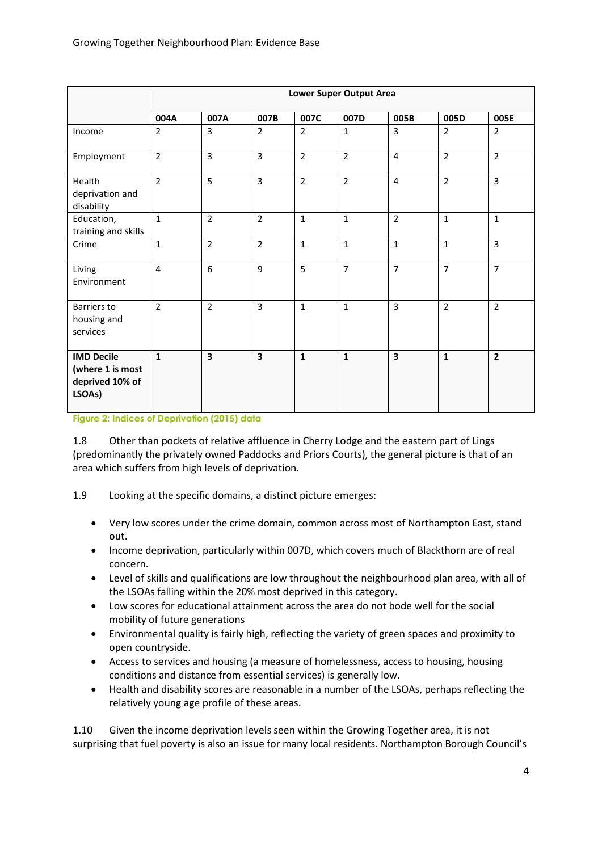|                                                                    | <b>Lower Super Output Area</b> |                |                         |                |                |                         |                |                |  |
|--------------------------------------------------------------------|--------------------------------|----------------|-------------------------|----------------|----------------|-------------------------|----------------|----------------|--|
|                                                                    | 004A                           | 007A           | 007B                    | 007C           | 007D           | 005B                    | 005D           | 005E           |  |
| Income                                                             | $\overline{2}$                 | $\overline{3}$ | $\overline{2}$          | $\overline{2}$ | $\mathbf{1}$   | $\overline{3}$          | $\overline{2}$ | $\overline{2}$ |  |
| Employment                                                         | $\overline{2}$                 | $\overline{3}$ | $\overline{3}$          | $\overline{2}$ | $\overline{2}$ | $\overline{4}$          | $\overline{2}$ | $\overline{2}$ |  |
| Health<br>deprivation and<br>disability                            | $\overline{2}$                 | 5              | $\overline{3}$          | $\overline{2}$ | $\overline{2}$ | $\overline{4}$          | $\overline{2}$ | $\overline{3}$ |  |
| Education,<br>training and skills                                  | $\mathbf 1$                    | $\overline{2}$ | $\overline{2}$          | $\mathbf{1}$   | $\mathbf{1}$   | $\overline{2}$          | $\mathbf{1}$   | $\mathbf{1}$   |  |
| Crime                                                              | $1\,$                          | $\overline{2}$ | $\overline{2}$          | $\mathbf{1}$   | $\mathbf{1}$   | $\mathbf{1}$            | $\mathbf{1}$   | $\overline{3}$ |  |
| Living<br>Environment                                              | $\overline{4}$                 | 6              | 9                       | 5              | $\overline{7}$ | $\overline{7}$          | $\overline{7}$ | $\overline{7}$ |  |
| <b>Barriers to</b><br>housing and<br>services                      | $\overline{2}$                 | $\overline{2}$ | $\overline{3}$          | $\mathbf{1}$   | $\mathbf{1}$   | $\overline{3}$          | $\overline{2}$ | $\overline{2}$ |  |
| <b>IMD Decile</b><br>(where 1 is most<br>deprived 10% of<br>LSOAs) | $\mathbf{1}$                   | 3              | $\overline{\mathbf{3}}$ | $\mathbf{1}$   | $\mathbf{1}$   | $\overline{\mathbf{3}}$ | $\mathbf{1}$   | $\overline{2}$ |  |

**Figure 2: Indices of Deprivation (2015) data**

1.8 Other than pockets of relative affluence in Cherry Lodge and the eastern part of Lings (predominantly the privately owned Paddocks and Priors Courts), the general picture is that of an area which suffers from high levels of deprivation.

- 1.9 Looking at the specific domains, a distinct picture emerges:
	- Very low scores under the crime domain, common across most of Northampton East, stand out.
	- Income deprivation, particularly within 007D, which covers much of Blackthorn are of real concern.
	- Level of skills and qualifications are low throughout the neighbourhood plan area, with all of the LSOAs falling within the 20% most deprived in this category.
	- Low scores for educational attainment across the area do not bode well for the social mobility of future generations
	- Environmental quality is fairly high, reflecting the variety of green spaces and proximity to open countryside.
	- Access to services and housing (a measure of homelessness, access to housing, housing conditions and distance from essential services) is generally low.
	- Health and disability scores are reasonable in a number of the LSOAs, perhaps reflecting the relatively young age profile of these areas.

1.10 Given the income deprivation levels seen within the Growing Together area, it is not surprising that fuel poverty is also an issue for many local residents. Northampton Borough Council's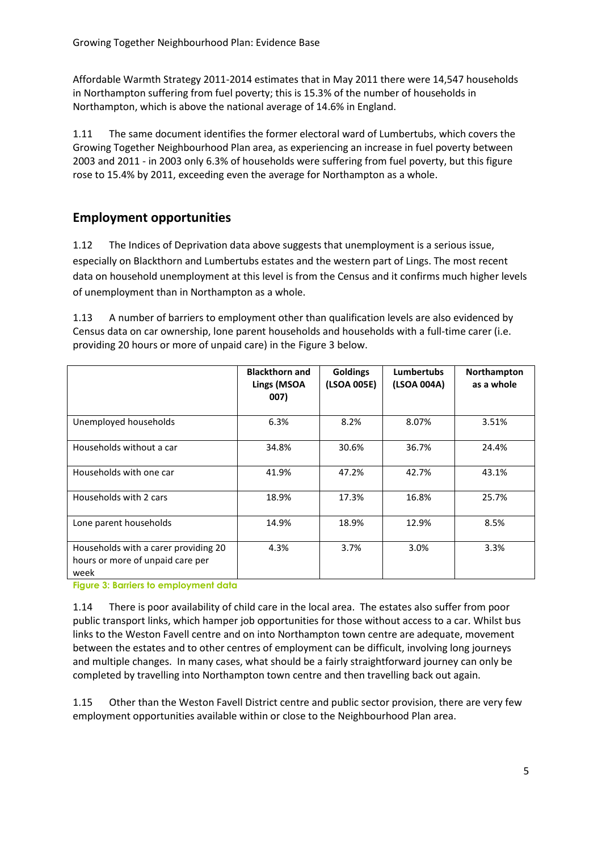Affordable Warmth Strategy 2011-2014 estimates that in May 2011 there were 14,547 households in Northampton suffering from fuel poverty; this is 15.3% of the number of households in Northampton, which is above the national average of 14.6% in England.

1.11 The same document identifies the former electoral ward of Lumbertubs, which covers the Growing Together Neighbourhood Plan area, as experiencing an increase in fuel poverty between 2003 and 2011 - in 2003 only 6.3% of households were suffering from fuel poverty, but this figure rose to 15.4% by 2011, exceeding even the average for Northampton as a whole.

### **Employment opportunities**

1.12 The Indices of Deprivation data above suggests that unemployment is a serious issue, especially on Blackthorn and Lumbertubs estates and the western part of Lings. The most recent data on household unemployment at this level is from the Census and it confirms much higher levels of unemployment than in Northampton as a whole.

1.13 A number of barriers to employment other than qualification levels are also evidenced by Census data on car ownership, lone parent households and households with a full-time carer (i.e. providing 20 hours or more of unpaid care) in the Figure 3 below.

|                                                                                  | <b>Blackthorn and</b><br>Lings (MSOA<br>007) | <b>Goldings</b><br>(LSOA 005E) | <b>Lumbertubs</b><br>(LSOA 004A) | Northampton<br>as a whole |
|----------------------------------------------------------------------------------|----------------------------------------------|--------------------------------|----------------------------------|---------------------------|
| Unemployed households                                                            | 6.3%                                         | 8.2%                           | 8.07%                            | 3.51%                     |
| Households without a car                                                         | 34.8%                                        | 30.6%                          | 36.7%                            | 24.4%                     |
| Households with one car                                                          | 41.9%                                        | 47.2%                          | 42.7%                            | 43.1%                     |
| Households with 2 cars                                                           | 18.9%                                        | 17.3%                          | 16.8%                            | 25.7%                     |
| Lone parent households                                                           | 14.9%                                        | 18.9%                          | 12.9%                            | 8.5%                      |
| Households with a carer providing 20<br>hours or more of unpaid care per<br>week | 4.3%                                         | 3.7%                           | 3.0%                             | 3.3%                      |

**Figure 3: Barriers to employment data**

1.14 There is poor availability of child care in the local area. The estates also suffer from poor public transport links, which hamper job opportunities for those without access to a car. Whilst bus links to the Weston Favell centre and on into Northampton town centre are adequate, movement between the estates and to other centres of employment can be difficult, involving long journeys and multiple changes. In many cases, what should be a fairly straightforward journey can only be completed by travelling into Northampton town centre and then travelling back out again.

1.15 Other than the Weston Favell District centre and public sector provision, there are very few employment opportunities available within or close to the Neighbourhood Plan area.